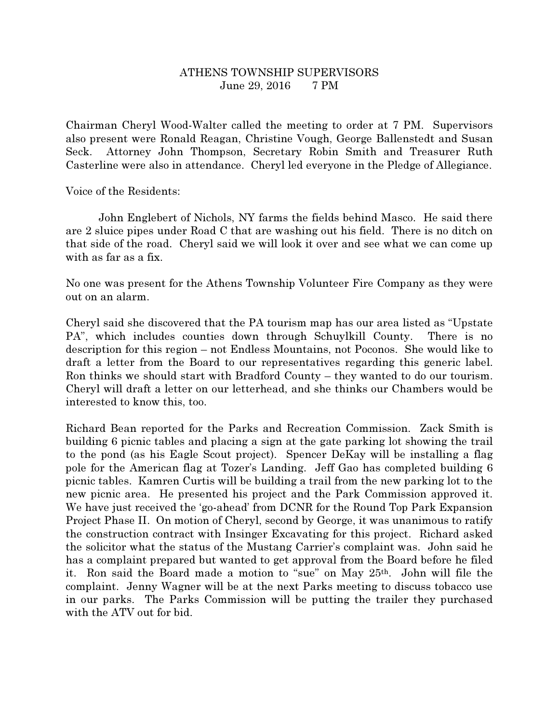## ATHENS TOWNSHIP SUPERVISORS June 29, 2016 7 PM

Chairman Cheryl Wood-Walter called the meeting to order at 7 PM. Supervisors also present were Ronald Reagan, Christine Vough, George Ballenstedt and Susan Seck. Attorney John Thompson, Secretary Robin Smith and Treasurer Ruth Casterline were also in attendance. Cheryl led everyone in the Pledge of Allegiance.

Voice of the Residents:

 John Englebert of Nichols, NY farms the fields behind Masco. He said there are 2 sluice pipes under Road C that are washing out his field. There is no ditch on that side of the road. Cheryl said we will look it over and see what we can come up with as far as a fix.

No one was present for the Athens Township Volunteer Fire Company as they were out on an alarm.

Cheryl said she discovered that the PA tourism map has our area listed as "Upstate PA", which includes counties down through Schuylkill County. There is no description for this region – not Endless Mountains, not Poconos. She would like to draft a letter from the Board to our representatives regarding this generic label. Ron thinks we should start with Bradford County – they wanted to do our tourism. Cheryl will draft a letter on our letterhead, and she thinks our Chambers would be interested to know this, too.

Richard Bean reported for the Parks and Recreation Commission. Zack Smith is building 6 picnic tables and placing a sign at the gate parking lot showing the trail to the pond (as his Eagle Scout project). Spencer DeKay will be installing a flag pole for the American flag at Tozer's Landing. Jeff Gao has completed building 6 picnic tables. Kamren Curtis will be building a trail from the new parking lot to the new picnic area. He presented his project and the Park Commission approved it. We have just received the 'go-ahead' from DCNR for the Round Top Park Expansion Project Phase II. On motion of Cheryl, second by George, it was unanimous to ratify the construction contract with Insinger Excavating for this project. Richard asked the solicitor what the status of the Mustang Carrier's complaint was. John said he has a complaint prepared but wanted to get approval from the Board before he filed it. Ron said the Board made a motion to "sue" on May 25th. John will file the complaint. Jenny Wagner will be at the next Parks meeting to discuss tobacco use in our parks. The Parks Commission will be putting the trailer they purchased with the ATV out for bid.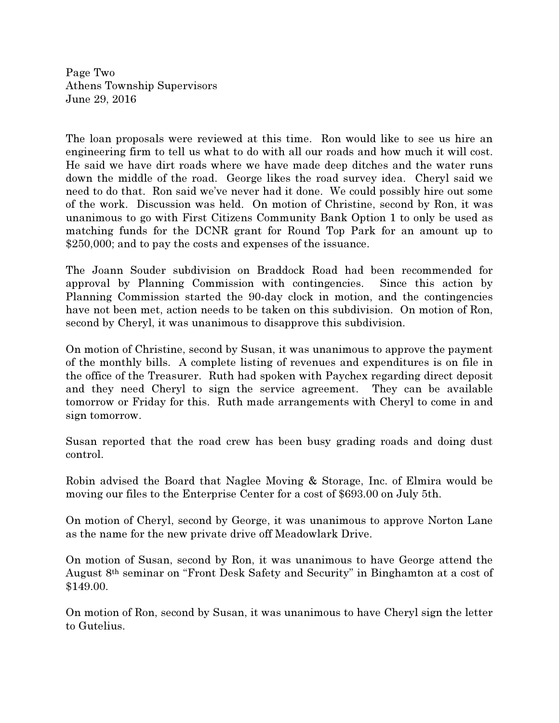Page Two Athens Township Supervisors June 29, 2016

The loan proposals were reviewed at this time. Ron would like to see us hire an engineering firm to tell us what to do with all our roads and how much it will cost. He said we have dirt roads where we have made deep ditches and the water runs down the middle of the road. George likes the road survey idea. Cheryl said we need to do that. Ron said we've never had it done. We could possibly hire out some of the work. Discussion was held. On motion of Christine, second by Ron, it was unanimous to go with First Citizens Community Bank Option 1 to only be used as matching funds for the DCNR grant for Round Top Park for an amount up to \$250,000; and to pay the costs and expenses of the issuance.

The Joann Souder subdivision on Braddock Road had been recommended for approval by Planning Commission with contingencies. Since this action by Planning Commission started the 90-day clock in motion, and the contingencies have not been met, action needs to be taken on this subdivision. On motion of Ron, second by Cheryl, it was unanimous to disapprove this subdivision.

On motion of Christine, second by Susan, it was unanimous to approve the payment of the monthly bills. A complete listing of revenues and expenditures is on file in the office of the Treasurer. Ruth had spoken with Paychex regarding direct deposit and they need Cheryl to sign the service agreement. They can be available tomorrow or Friday for this. Ruth made arrangements with Cheryl to come in and sign tomorrow.

Susan reported that the road crew has been busy grading roads and doing dust control.

Robin advised the Board that Naglee Moving & Storage, Inc. of Elmira would be moving our files to the Enterprise Center for a cost of \$693.00 on July 5th.

On motion of Cheryl, second by George, it was unanimous to approve Norton Lane as the name for the new private drive off Meadowlark Drive.

On motion of Susan, second by Ron, it was unanimous to have George attend the August 8th seminar on "Front Desk Safety and Security" in Binghamton at a cost of \$149.00.

On motion of Ron, second by Susan, it was unanimous to have Cheryl sign the letter to Gutelius.